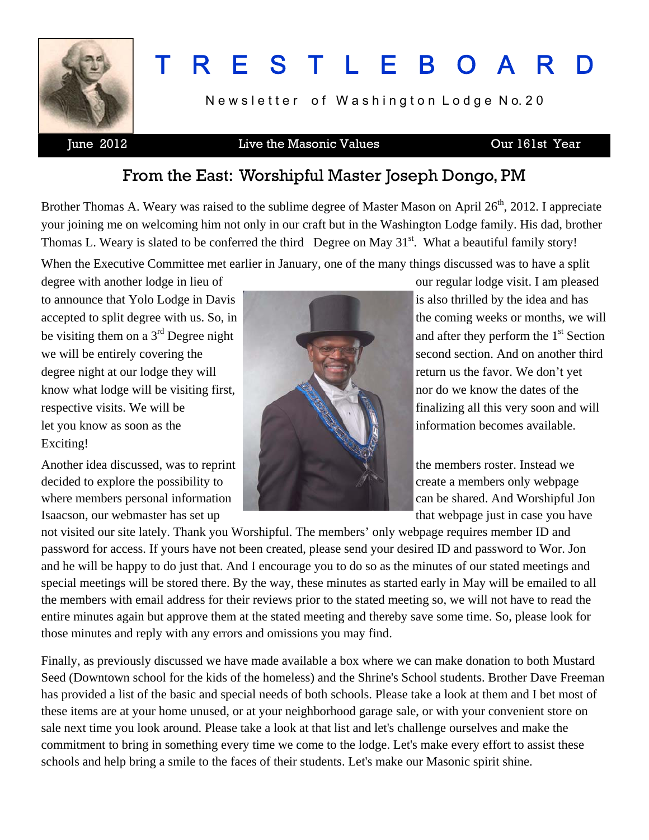

# T R E S T L E B O A R D

Newsletter of Washington Lodge No. 20

#### June 2012 Live the Masonic Values Our 161st Year

### From the East: Worshipful Master Joseph Dongo, PM

Brother Thomas A. Weary was raised to the sublime degree of Master Mason on April 26<sup>th</sup>, 2012. I appreciate your joining me on welcoming him not only in our craft but in the Washington Lodge family. His dad, brother Thomas L. Weary is slated to be conferred the third Degree on May  $31<sup>st</sup>$ . What a beautiful family story!

When the Executive Committee met earlier in January, one of the many things discussed was to have a split

to announce that Yolo Lodge in Davis is also thrilled by the idea and has accepted to split degree with us. So, in be visiting them on a  $3<sup>rd</sup>$  Degree night and after they perform the  $1<sup>st</sup>$  Section we will be entirely covering the second section. And on another third degree night at our lodge they will return us the favor. We don't yet know what lodge will be visiting first, nor do we know the dates of the respective visits. We will be finalizing all this very soon and will let you know as soon as the information becomes available. Exciting!

Another idea discussed, was to reprint the members roster. Instead we decided to explore the possibility to create a members only webpage where members personal information and can be shared. And Worshipful Jon Isaacson, our webmaster has set up that webpage just in case you have



degree with another lodge in lieu of our regular lodge visit. I am pleased

not visited our site lately. Thank you Worshipful. The members' only webpage requires member ID and password for access. If yours have not been created, please send your desired ID and password to Wor. Jon and he will be happy to do just that. And I encourage you to do so as the minutes of our stated meetings and special meetings will be stored there. By the way, these minutes as started early in May will be emailed to all the members with email address for their reviews prior to the stated meeting so, we will not have to read the entire minutes again but approve them at the stated meeting and thereby save some time. So, please look for those minutes and reply with any errors and omissions you may find.

Finally, as previously discussed we have made available a box where we can make donation to both Mustard Seed (Downtown school for the kids of the homeless) and the Shrine's School students. Brother Dave Freeman has provided a list of the basic and special needs of both schools. Please take a look at them and I bet most of these items are at your home unused, or at your neighborhood garage sale, or with your convenient store on sale next time you look around. Please take a look at that list and let's challenge ourselves and make the commitment to bring in something every time we come to the lodge. Let's make every effort to assist these schools and help bring a smile to the faces of their students. Let's make our Masonic spirit shine.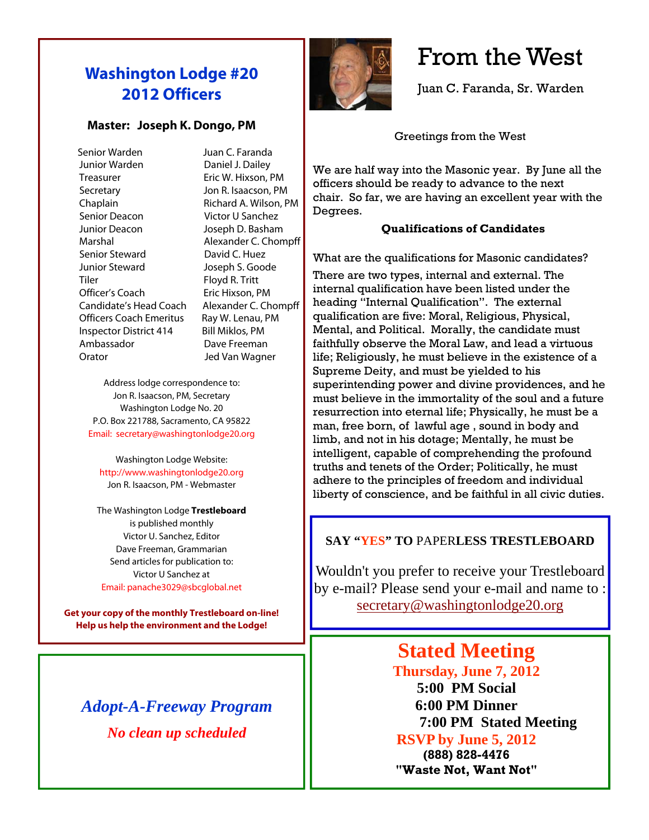### **Washington Lodge #20 2012 Officers**

#### **Master: Joseph K. Dongo, PM**

 Senior Warden Juan C. Faranda Junior Warden Daniel J. Dailey Treasurer **Eric W. Hixson, PM**  Secretary Jon R. Isaacson, PM Chaplain Richard A. Wilson, PM Senior Deacon Victor U Sanchez Junior Deacon Joseph D. Basham Marshal **Alexander C. Chompff** Senior Steward David C. Huez Junior Steward Joseph S. Goode Tiler Floyd R. Tritt Officer's Coach Eric Hixson, PM Candidate's Head Coach Alexander C. Chompff Officers Coach Emeritus Ray W. Lenau, PM Inspector District 414 Bill Miklos, PM Ambassador Dave Freeman Orator Jed Van Wagner

Address lodge correspondence to: Jon R. Isaacson, PM, Secretary Washington Lodge No. 20 P.O. Box 221788, Sacramento, CA 95822 Email: secretary@washingtonlodge20.org

Washington Lodge Website: http://www.washingtonlodge20.org Jon R. Isaacson, PM - Webmaster

The Washington Lodge **Trestleboard** is published monthly Victor U. Sanchez, Editor Dave Freeman, Grammarian Send articles for publication to: Victor U Sanchez at Email: panache3029@sbcglobal.net

**Get your copy of the monthly Trestleboard on-line! Help us help the environment and the Lodge!** 

### *Adopt-A-Freeway Program No clean up scheduled*



### From the West

Juan C. Faranda, Sr. Warden

Greetings from the West

We are half way into the Masonic year. By June all the officers should be ready to advance to the next chair. So far, we are having an excellent year with the Degrees.

#### **Qualifications of Candidates**

What are the qualifications for Masonic candidates?

There are two types, internal and external. The internal qualification have been listed under the heading "Internal Qualification". The external qualification are five: Moral, Religious, Physical, Mental, and Political. Morally, the candidate must faithfully observe the Moral Law, and lead a virtuous life; Religiously, he must believe in the existence of a Supreme Deity, and must be yielded to his superintending power and divine providences, and he must believe in the immortality of the soul and a future resurrection into eternal life; Physically, he must be a man, free born, of lawful age , sound in body and limb, and not in his dotage; Mentally, he must be intelligent, capable of comprehending the profound truths and tenets of the Order; Politically, he must adhere to the principles of freedom and individual liberty of conscience, and be faithful in all civic duties.

#### **SAY "YES" TO** PAPER**LESS TRESTLEBOARD**

Wouldn't you prefer to receive your Trestleboard by e-mail? Please send your e-mail and name to : [secretary@washingtonlodge20.org](mailto:secretary@washingtonlodge20.org)

> **Stated Meeting Thursday, June 7, 2012 5:00 PM Social 6:00 PM Dinner**

> > **7:00 PM Stated Meeting**

#### **RSVP by June 5, 2012 (888) 828-4476**

**"Waste Not, Want Not"**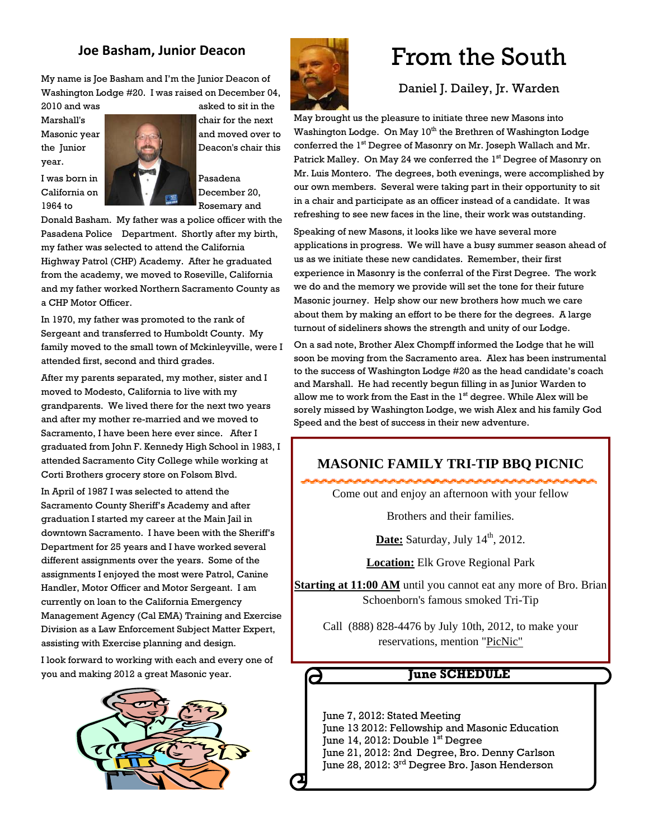#### **Joe Basham, Junior Deacon**

My name is Joe Basham and I'm the Junior Deacon of Washington Lodge #20. I was raised on December 04,

2010 and was asked to sit in the year.



1964 to Rosemary and

Donald Basham. My father was a police officer with the Pasadena Police Department. Shortly after my birth, my father was selected to attend the California Highway Patrol (CHP) Academy. After he graduated from the academy, we moved to Roseville, California and my father worked Northern Sacramento County as a CHP Motor Officer.

In 1970, my father was promoted to the rank of Sergeant and transferred to Humboldt County. My family moved to the small town of Mckinleyville, were I attended first, second and third grades.

After my parents separated, my mother, sister and I moved to Modesto, California to live with my grandparents. We lived there for the next two years and after my mother re-married and we moved to Sacramento, I have been here ever since. After I graduated from John F. Kennedy High School in 1983, I attended Sacramento City College while working at Corti Brothers grocery store on Folsom Blvd.

In April of 1987 I was selected to attend the Sacramento County Sheriff's Academy and after graduation I started my career at the Main Jail in downtown Sacramento. I have been with the Sheriff's Department for 25 years and I have worked several different assignments over the years. Some of the assignments I enjoyed the most were Patrol, Canine Handler, Motor Officer and Motor Sergeant. I am currently on loan to the California Emergency Management Agency (Cal EMA) Training and Exercise Division as a Law Enforcement Subject Matter Expert, assisting with Exercise planning and design.

I look forward to working with each and every one of you and making 2012 a great Masonic year.





## From the South

#### Daniel J. Dailey, Jr. Warden

May brought us the pleasure to initiate three new Masons into Washington Lodge. On May 10<sup>th</sup> the Brethren of Washington Lodge conferred the 1<sup>st</sup> Degree of Masonry on Mr. Joseph Wallach and Mr. Patrick Malley. On May 24 we conferred the 1<sup>st</sup> Degree of Masonry on Mr. Luis Montero. The degrees, both evenings, were accomplished by our own members. Several were taking part in their opportunity to sit in a chair and participate as an officer instead of a candidate. It was refreshing to see new faces in the line, their work was outstanding.

Speaking of new Masons, it looks like we have several more applications in progress. We will have a busy summer season ahead of us as we initiate these new candidates. Remember, their first experience in Masonry is the conferral of the First Degree. The work we do and the memory we provide will set the tone for their future Masonic journey. Help show our new brothers how much we care about them by making an effort to be there for the degrees. A large turnout of sideliners shows the strength and unity of our Lodge.

On a sad note, Brother Alex Chompff informed the Lodge that he will soon be moving from the Sacramento area. Alex has been instrumental to the success of Washington Lodge #20 as the head candidate's coach and Marshall. He had recently begun filling in as Junior Warden to allow me to work from the East in the  $1<sup>st</sup>$  degree. While Alex will be sorely missed by Washington Lodge, we wish Alex and his family God Speed and the best of success in their new adventure.

#### **MASONIC FAMILY TRI-TIP BBQ PICNIC**

Come out and enjoy an afternoon with your fellow

Brothers and their families.

**Date:** Saturday, July 14<sup>th</sup>, 2012.

**Location:** Elk Grove Regional Park

**Starting at 11:00 AM** until you cannot eat any more of Bro. Brian Schoenborn's famous smoked Tri-Tip

Call (888) 828-4476 by July 10th, 2012, to make your reservations, mention "PicNic"

#### **June SCHEDULE**

 June 7, 2012: Stated Meeting June 13 2012: Fellowship and Masonic Education June 14, 2012: Double 1<sup>st</sup> Degree June 21, 2012: 2nd Degree, Bro. Denny Carlson

 $\boldsymbol{\epsilon}$ 

June 28, 2012: 3rd Degree Bro. Jason Henderson